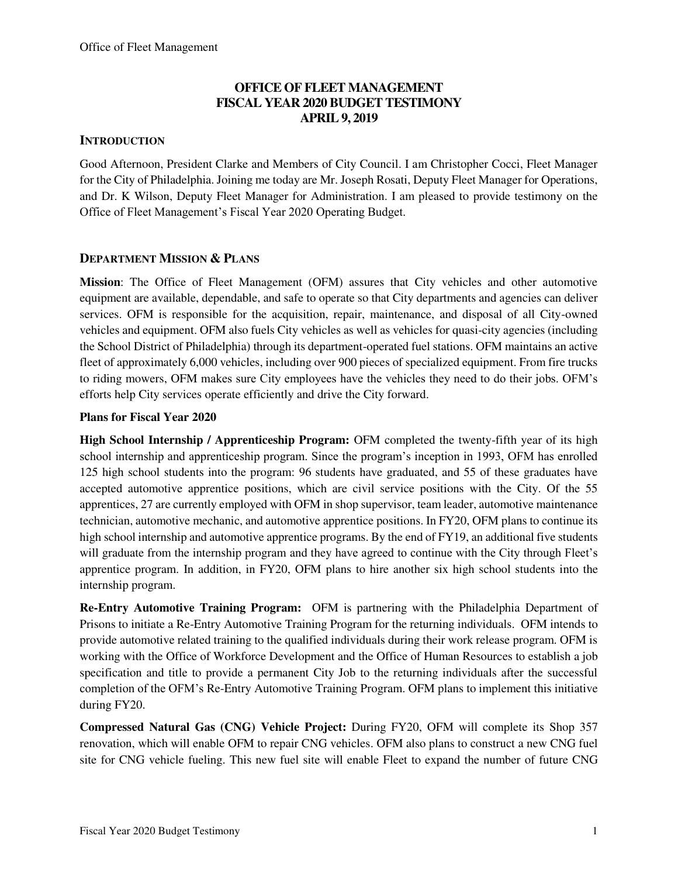# **OFFICE OF FLEET MANAGEMENT FISCAL YEAR 2020 BUDGET TESTIMONY APRIL 9, 2019**

### **INTRODUCTION**

Good Afternoon, President Clarke and Members of City Council. I am Christopher Cocci, Fleet Manager for the City of Philadelphia. Joining me today are Mr. Joseph Rosati, Deputy Fleet Manager for Operations, and Dr. K Wilson, Deputy Fleet Manager for Administration. I am pleased to provide testimony on the Office of Fleet Management's Fiscal Year 2020 Operating Budget.

### **DEPARTMENT MISSION & PLANS**

**Mission**: The Office of Fleet Management (OFM) assures that City vehicles and other automotive equipment are available, dependable, and safe to operate so that City departments and agencies can deliver services. OFM is responsible for the acquisition, repair, maintenance, and disposal of all City-owned vehicles and equipment. OFM also fuels City vehicles as well as vehicles for quasi-city agencies (including the School District of Philadelphia) through its department-operated fuel stations. OFM maintains an active fleet of approximately 6,000 vehicles, including over 900 pieces of specialized equipment. From fire trucks to riding mowers, OFM makes sure City employees have the vehicles they need to do their jobs. OFM's efforts help City services operate efficiently and drive the City forward.

### **Plans for Fiscal Year 2020**

**High School Internship / Apprenticeship Program:** OFM completed the twenty-fifth year of its high school internship and apprenticeship program. Since the program's inception in 1993, OFM has enrolled 125 high school students into the program: 96 students have graduated, and 55 of these graduates have accepted automotive apprentice positions, which are civil service positions with the City. Of the 55 apprentices, 27 are currently employed with OFM in shop supervisor, team leader, automotive maintenance technician, automotive mechanic, and automotive apprentice positions. In FY20, OFM plans to continue its high school internship and automotive apprentice programs. By the end of FY19, an additional five students will graduate from the internship program and they have agreed to continue with the City through Fleet's apprentice program. In addition, in FY20, OFM plans to hire another six high school students into the internship program.

**Re-Entry Automotive Training Program:** OFM is partnering with the Philadelphia Department of Prisons to initiate a Re-Entry Automotive Training Program for the returning individuals. OFM intends to provide automotive related training to the qualified individuals during their work release program. OFM is working with the Office of Workforce Development and the Office of Human Resources to establish a job specification and title to provide a permanent City Job to the returning individuals after the successful completion of the OFM's Re-Entry Automotive Training Program. OFM plans to implement this initiative during FY20.

**Compressed Natural Gas (CNG) Vehicle Project:** During FY20, OFM will complete its Shop 357 renovation, which will enable OFM to repair CNG vehicles. OFM also plans to construct a new CNG fuel site for CNG vehicle fueling. This new fuel site will enable Fleet to expand the number of future CNG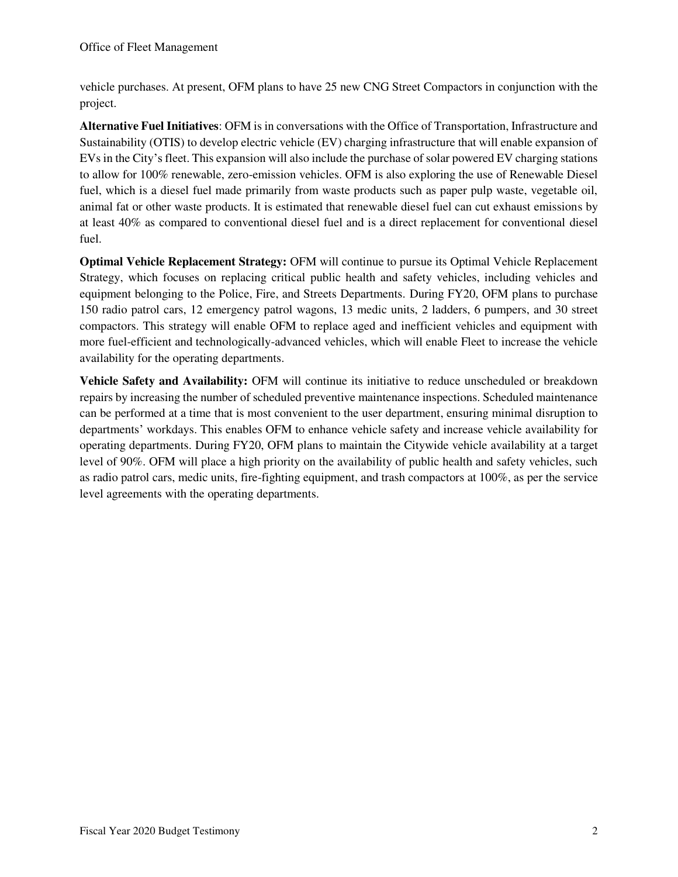vehicle purchases. At present, OFM plans to have 25 new CNG Street Compactors in conjunction with the project.

**Alternative Fuel Initiatives**: OFM is in conversations with the Office of Transportation, Infrastructure and Sustainability (OTIS) to develop electric vehicle (EV) charging infrastructure that will enable expansion of EVs in the City's fleet. This expansion will also include the purchase of solar powered EV charging stations to allow for 100% renewable, zero-emission vehicles. OFM is also exploring the use of Renewable Diesel fuel, which is a diesel fuel made primarily from waste products such as paper pulp waste, vegetable oil, animal fat or other waste products. It is estimated that renewable diesel fuel can cut exhaust emissions by at least 40% as compared to conventional diesel fuel and is a direct replacement for conventional diesel fuel.

**Optimal Vehicle Replacement Strategy:** OFM will continue to pursue its Optimal Vehicle Replacement Strategy, which focuses on replacing critical public health and safety vehicles, including vehicles and equipment belonging to the Police, Fire, and Streets Departments. During FY20, OFM plans to purchase 150 radio patrol cars, 12 emergency patrol wagons, 13 medic units, 2 ladders, 6 pumpers, and 30 street compactors. This strategy will enable OFM to replace aged and inefficient vehicles and equipment with more fuel-efficient and technologically-advanced vehicles, which will enable Fleet to increase the vehicle availability for the operating departments.

**Vehicle Safety and Availability:** OFM will continue its initiative to reduce unscheduled or breakdown repairs by increasing the number of scheduled preventive maintenance inspections. Scheduled maintenance can be performed at a time that is most convenient to the user department, ensuring minimal disruption to departments' workdays. This enables OFM to enhance vehicle safety and increase vehicle availability for operating departments. During FY20, OFM plans to maintain the Citywide vehicle availability at a target level of 90%. OFM will place a high priority on the availability of public health and safety vehicles, such as radio patrol cars, medic units, fire-fighting equipment, and trash compactors at 100%, as per the service level agreements with the operating departments.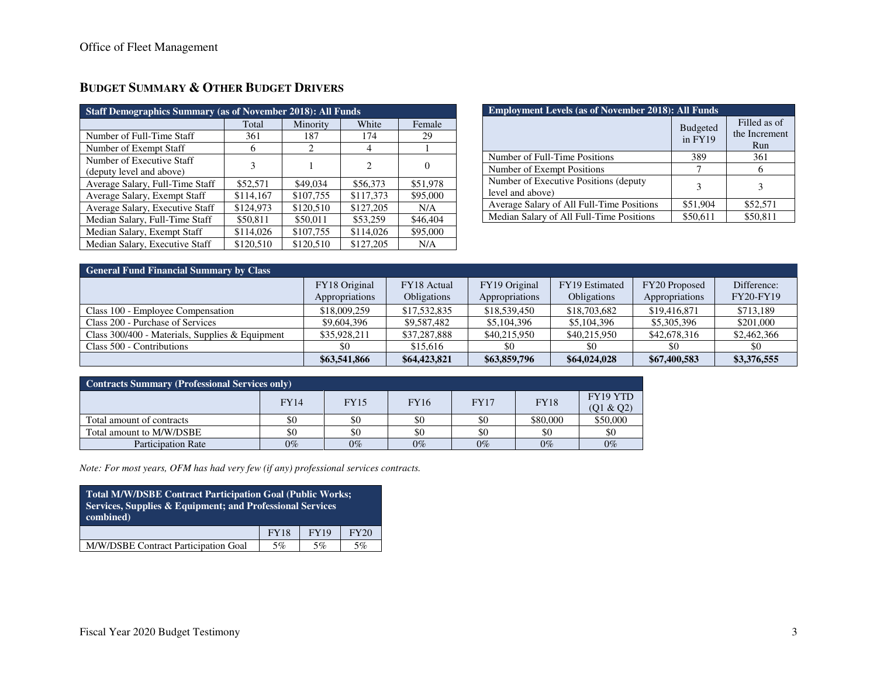| <b>Staff Demographics Summary (as of November 2018): All Funds</b> |           |           |                |          |  |  |  |  |  |
|--------------------------------------------------------------------|-----------|-----------|----------------|----------|--|--|--|--|--|
| White<br>Total<br>Minority<br>Female                               |           |           |                |          |  |  |  |  |  |
| Number of Full-Time Staff                                          | 361       | 187       | 174            | 29       |  |  |  |  |  |
| Number of Exempt Staff                                             | 6         | 2         | 4              |          |  |  |  |  |  |
| Number of Executive Staff                                          | 3         |           | $\overline{c}$ | $\Omega$ |  |  |  |  |  |
| (deputy level and above)                                           |           |           |                |          |  |  |  |  |  |
| Average Salary, Full-Time Staff                                    | \$52,571  | \$49,034  | \$56,373       | \$51,978 |  |  |  |  |  |
| Average Salary, Exempt Staff                                       | \$114,167 | \$107,755 | \$117,373      | \$95,000 |  |  |  |  |  |
| Average Salary, Executive Staff                                    | \$124,973 | \$120,510 | \$127,205      | N/A      |  |  |  |  |  |
| Median Salary, Full-Time Staff                                     | \$50,811  | \$50,011  | \$53,259       | \$46,404 |  |  |  |  |  |
| Median Salary, Exempt Staff                                        | \$114,026 | \$107,755 | \$114,026      | \$95,000 |  |  |  |  |  |
| Median Salary, Executive Staff                                     | \$120,510 | \$120,510 | \$127,205      | N/A      |  |  |  |  |  |

# **BUDGET SUMMARY & OTHER BUDGET DRIVERS**

| <b>Employment Levels (as of November 2018): All Funds</b>  |                            |                                      |  |  |  |  |  |
|------------------------------------------------------------|----------------------------|--------------------------------------|--|--|--|--|--|
|                                                            | <b>Budgeted</b><br>in FY19 | Filled as of<br>the Increment<br>Run |  |  |  |  |  |
| Number of Full-Time Positions                              | 389                        | 361                                  |  |  |  |  |  |
| Number of Exempt Positions                                 |                            |                                      |  |  |  |  |  |
| Number of Executive Positions (deputy)<br>level and above) | 3                          |                                      |  |  |  |  |  |
| Average Salary of All Full-Time Positions                  | \$51,904                   | \$52,571                             |  |  |  |  |  |
| Median Salary of All Full-Time Positions                   | \$50,611                   | \$50.811                             |  |  |  |  |  |

| <b>General Fund Financial Summary by Class</b>    |                                 |                                   |                                 |                                      |                                 |                                 |  |  |  |  |
|---------------------------------------------------|---------------------------------|-----------------------------------|---------------------------------|--------------------------------------|---------------------------------|---------------------------------|--|--|--|--|
|                                                   | FY18 Original<br>Appropriations | FY18 Actual<br><b>Obligations</b> | FY19 Original<br>Appropriations | FY19 Estimated<br><b>Obligations</b> | FY20 Proposed<br>Appropriations | Difference:<br><b>FY20-FY19</b> |  |  |  |  |
| Class 100 - Employee Compensation                 | \$18,009,259                    | \$17,532,835                      | \$18,539,450                    | \$18,703,682                         | \$19,416,871                    | \$713.189                       |  |  |  |  |
| Class 200 - Purchase of Services                  | \$9,604,396                     | \$9,587,482                       | \$5,104,396                     | \$5,104,396                          | \$5,305,396                     | \$201,000                       |  |  |  |  |
| Class $300/400$ - Materials, Supplies & Equipment | \$35,928,211                    | \$37,287,888                      | \$40,215,950                    | \$40,215,950                         | \$42,678,316                    | \$2,462,366                     |  |  |  |  |
| Class 500 - Contributions                         | \$0                             | \$15,616                          | \$0                             | \$0                                  | \$0                             | \$0                             |  |  |  |  |
|                                                   | \$63,541,866                    | \$64,423,821                      | \$63,859,796                    | \$64,024,028                         | \$67,400,583                    | \$3,376,555                     |  |  |  |  |

| <b>Contracts Summary (Professional Services only)</b> |             |             |             |             |             |                       |  |  |  |
|-------------------------------------------------------|-------------|-------------|-------------|-------------|-------------|-----------------------|--|--|--|
|                                                       | <b>FY14</b> | <b>FY15</b> | <b>FY16</b> | <b>FY17</b> | <b>FY18</b> | FY19 YTD<br>(Q1 & Q2) |  |  |  |
| Total amount of contracts                             | \$0         | \$0         | \$0         | \$0         | \$80,000    | \$50,000              |  |  |  |
| Total amount to M/W/DSBE                              | \$0         | \$0         | \$0         | \$0         | \$0         | \$0                   |  |  |  |
| <b>Participation Rate</b>                             | $0\%$       | $0\%$       | $0\%$       | $0\%$       | $0\%$       | $0\%$                 |  |  |  |

*Note: For most years, OFM has had very few (if any) professional services contracts.* 

| Total M/W/DSBE Contract Participation Goal (Public Works;<br>Services, Supplies & Equipment; and Professional Services<br>combined) |             |             |             |  |  |  |  |  |
|-------------------------------------------------------------------------------------------------------------------------------------|-------------|-------------|-------------|--|--|--|--|--|
|                                                                                                                                     | <b>FY18</b> | <b>FY19</b> | <b>FY20</b> |  |  |  |  |  |
| 5%<br>5%<br>M/W/DSBE Contract Participation Goal<br>5%                                                                              |             |             |             |  |  |  |  |  |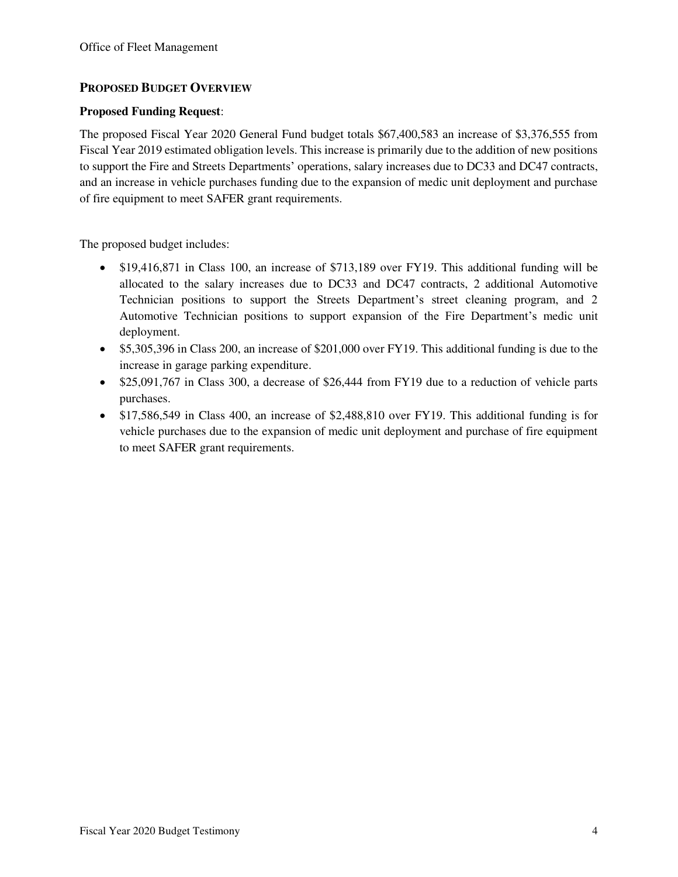### **PROPOSED BUDGET OVERVIEW**

### **Proposed Funding Request**:

The proposed Fiscal Year 2020 General Fund budget totals \$67,400,583 an increase of \$3,376,555 from Fiscal Year 2019 estimated obligation levels. This increase is primarily due to the addition of new positions to support the Fire and Streets Departments' operations, salary increases due to DC33 and DC47 contracts, and an increase in vehicle purchases funding due to the expansion of medic unit deployment and purchase of fire equipment to meet SAFER grant requirements.

The proposed budget includes:

- \$19,416,871 in Class 100, an increase of \$713,189 over FY19. This additional funding will be allocated to the salary increases due to DC33 and DC47 contracts, 2 additional Automotive Technician positions to support the Streets Department's street cleaning program, and 2 Automotive Technician positions to support expansion of the Fire Department's medic unit deployment.
- \$5,305,396 in Class 200, an increase of \$201,000 over FY19. This additional funding is due to the increase in garage parking expenditure.
- \$25,091,767 in Class 300, a decrease of \$26,444 from FY19 due to a reduction of vehicle parts purchases.
- \$17,586,549 in Class 400, an increase of \$2,488,810 over FY19. This additional funding is for vehicle purchases due to the expansion of medic unit deployment and purchase of fire equipment to meet SAFER grant requirements.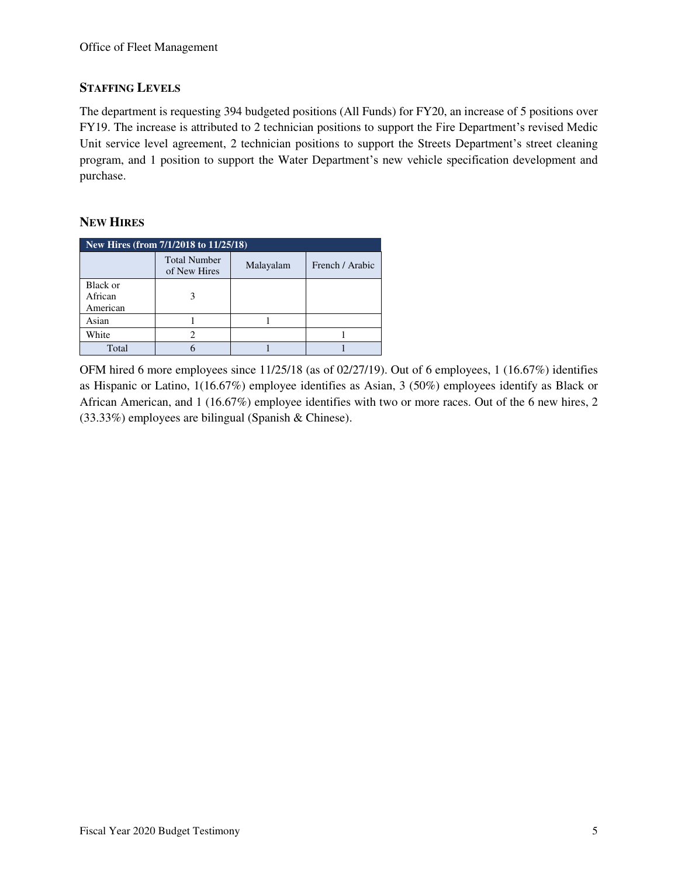### **STAFFING LEVELS**

The department is requesting 394 budgeted positions (All Funds) for FY20, an increase of 5 positions over FY19. The increase is attributed to 2 technician positions to support the Fire Department's revised Medic Unit service level agreement, 2 technician positions to support the Streets Department's street cleaning program, and 1 position to support the Water Department's new vehicle specification development and purchase.

# **NEW HIRES**

| New Hires (from 7/1/2018 to 11/25/18) |                                     |           |                 |  |  |  |  |  |
|---------------------------------------|-------------------------------------|-----------|-----------------|--|--|--|--|--|
|                                       | <b>Total Number</b><br>of New Hires | Malayalam | French / Arabic |  |  |  |  |  |
| Black or<br>African<br>American       |                                     |           |                 |  |  |  |  |  |
| Asian                                 |                                     |           |                 |  |  |  |  |  |
| White                                 |                                     |           |                 |  |  |  |  |  |
| Total                                 |                                     |           |                 |  |  |  |  |  |

OFM hired 6 more employees since 11/25/18 (as of 02/27/19). Out of 6 employees, 1 (16.67%) identifies as Hispanic or Latino, 1(16.67%) employee identifies as Asian, 3 (50%) employees identify as Black or African American, and 1 (16.67%) employee identifies with two or more races. Out of the 6 new hires, 2 (33.33%) employees are bilingual (Spanish & Chinese).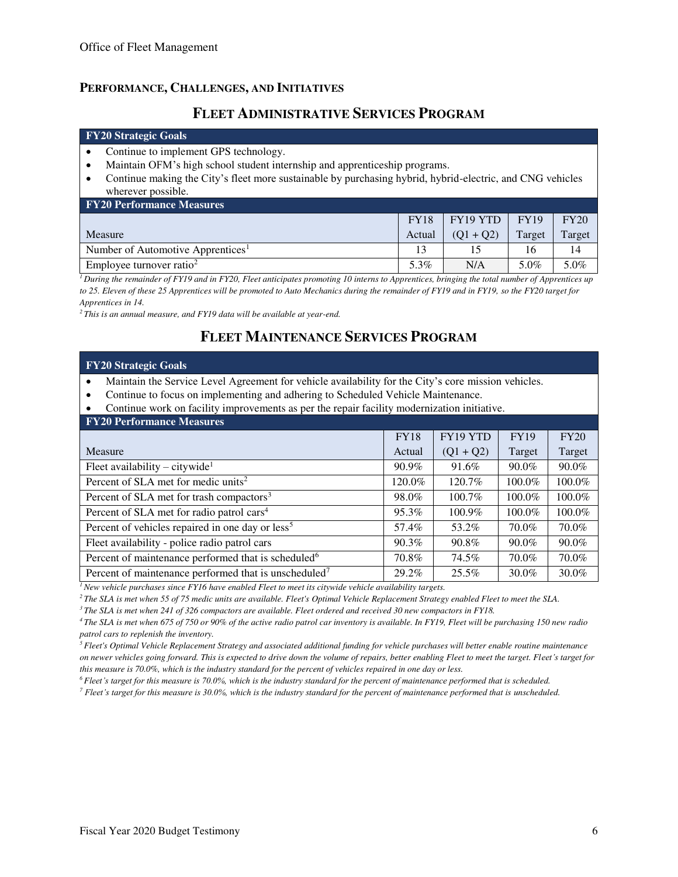### **PERFORMANCE, CHALLENGES, AND INITIATIVES**

# **FLEET ADMINISTRATIVE SERVICES PROGRAM**

#### **FY20 Strategic Goals**

- Continue to implement GPS technology.
- Maintain OFM's high school student internship and apprenticeship programs.
- Continue making the City's fleet more sustainable by purchasing hybrid, hybrid-electric, and CNG vehicles wherever possible.

| <b>FY20 Performance Measures</b>              |             |             |        |        |  |  |  |  |  |
|-----------------------------------------------|-------------|-------------|--------|--------|--|--|--|--|--|
|                                               | <b>FY18</b> | FY19 YTD    | FY19   | FY20   |  |  |  |  |  |
| Measure                                       | Actual      | $(01 + 02)$ | Target | Target |  |  |  |  |  |
| Number of Automotive Apprentices <sup>1</sup> |             |             |        | 14     |  |  |  |  |  |
| Employee turnover ratio <sup>2</sup>          | 5.3%        | N/A         | 5.0%   | 5.0%   |  |  |  |  |  |

<sup>1</sup> During the remainder of FY19 and in FY20, Fleet anticipates promoting 10 interns to Apprentices, bringing the total number of Apprentices up *to 25. Eleven of these 25 Apprentices will be promoted to Auto Mechanics during the remainder of FY19 and in FY19, so the FY20 target for Apprentices in 14.* 

*<sup>2</sup>This is an annual measure, and FY19 data will be available at year-end.*

# **FLEET MAINTENANCE SERVICES PROGRAM**

#### **FY20 Strategic Goals**

- Maintain the Service Level Agreement for vehicle availability for the City's core mission vehicles.
- Continue to focus on implementing and adhering to Scheduled Vehicle Maintenance.
- Continue work on facility improvements as per the repair facility modernization initiative.

| <b>FY20 Performance Measures</b>                                  |             |             |             |        |  |  |  |  |  |
|-------------------------------------------------------------------|-------------|-------------|-------------|--------|--|--|--|--|--|
|                                                                   | <b>FY18</b> | FY19 YTD    | <b>FY19</b> | FY20   |  |  |  |  |  |
| Measure                                                           | Actual      | $(Q1 + Q2)$ | Target      | Target |  |  |  |  |  |
| Fleet availability – citywide <sup>1</sup>                        | 90.9%       | 91.6%       | $90.0\%$    | 90.0%  |  |  |  |  |  |
| Percent of SLA met for medic units <sup>2</sup>                   | 120.0%      | 120.7%      | 100.0%      | 100.0% |  |  |  |  |  |
| Percent of SLA met for trash compactors <sup>3</sup>              | 98.0%       | 100.7%      | 100.0%      | 100.0% |  |  |  |  |  |
| Percent of SLA met for radio patrol cars <sup>4</sup>             | 95.3%       | 100.9%      | 100.0%      | 100.0% |  |  |  |  |  |
| Percent of vehicles repaired in one day or less <sup>5</sup>      | 57.4%       | 53.2%       | 70.0%       | 70.0%  |  |  |  |  |  |
| Fleet availability - police radio patrol cars                     | 90.3%       | 90.8%       | $90.0\%$    | 90.0%  |  |  |  |  |  |
| Percent of maintenance performed that is scheduled <sup>6</sup>   | 70.8%       | 74.5%       | 70.0%       | 70.0%  |  |  |  |  |  |
| Percent of maintenance performed that is unscheduled <sup>7</sup> | 29.2%       | 25.5%       | 30.0%       | 30.0%  |  |  |  |  |  |

*<sup>1</sup>New vehicle purchases since FY16 have enabled Fleet to meet its citywide vehicle availability targets.* 

*<sup>2</sup>The SLA is met when 55 of 75 medic units are available. Fleet's Optimal Vehicle Replacement Strategy enabled Fleet to meet the SLA.* 

*<sup>3</sup>The SLA is met when 241 of 326 compactors are available. Fleet ordered and received 30 new compactors in FY18.* 

*<sup>4</sup>The SLA is met when 675 of 750 or 90% of the active radio patrol car inventory is available. In FY19, Fleet will be purchasing 150 new radio patrol cars to replenish the inventory.* 

*<sup>5</sup>Fleet's Optimal Vehicle Replacement Strategy and associated additional funding for vehicle purchases will better enable routine maintenance on newer vehicles going forward. This is expected to drive down the volume of repairs, better enabling Fleet to meet the target. Fleet's target for this measure is 70.0%, which is the industry standard for the percent of vehicles repaired in one day or less.* 

*<sup>6</sup>Fleet's target for this measure is 70.0%, which is the industry standard for the percent of maintenance performed that is scheduled.* 

*<sup>7</sup> Fleet's target for this measure is 30.0%, which is the industry standard for the percent of maintenance performed that is unscheduled.*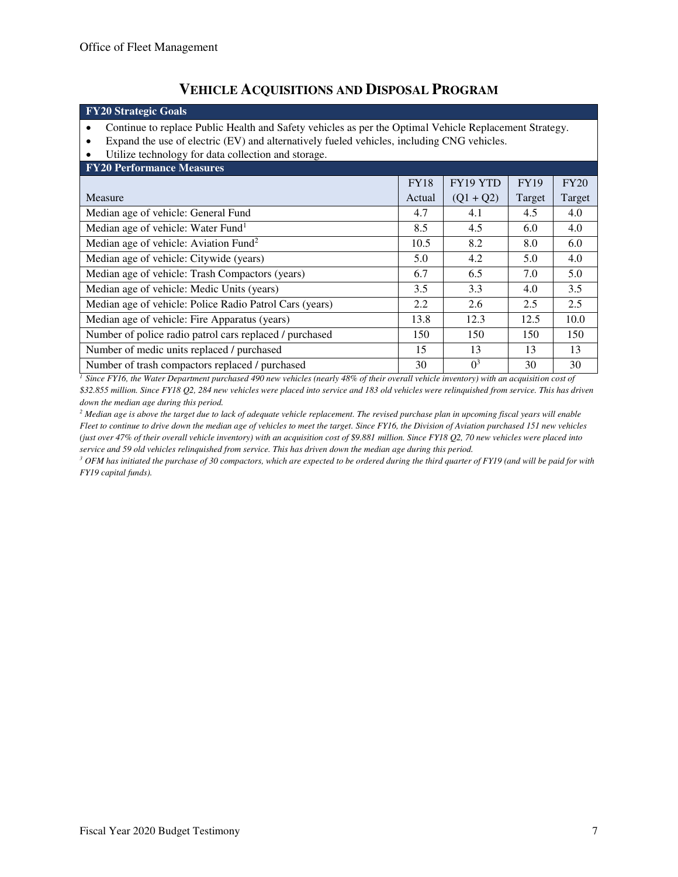# **VEHICLE ACQUISITIONS AND DISPOSAL PROGRAM**

# **FY20 Strategic Goals**

- Continue to replace Public Health and Safety vehicles as per the Optimal Vehicle Replacement Strategy.
- Expand the use of electric (EV) and alternatively fueled vehicles, including CNG vehicles.<br>• Utilize technology for data collection and storage.
- Utilize technology for data collection and storage.

| <b>FY20 Performance Measures</b>                        |             |                |             |        |  |  |  |  |  |
|---------------------------------------------------------|-------------|----------------|-------------|--------|--|--|--|--|--|
|                                                         | <b>FY18</b> | FY19 YTD       | <b>FY19</b> | FY20   |  |  |  |  |  |
| Measure                                                 | Actual      | $(Q1 + Q2)$    | Target      | Target |  |  |  |  |  |
| Median age of vehicle: General Fund                     | 4.7         | 4.1            | 4.5         | 4.0    |  |  |  |  |  |
| Median age of vehicle: Water Fund <sup>1</sup>          | 8.5         | 4.5            | 6.0         | 4.0    |  |  |  |  |  |
| Median age of vehicle: Aviation Fund <sup>2</sup>       | 10.5        | 8.2            | 8.0         | 6.0    |  |  |  |  |  |
| Median age of vehicle: Citywide (years)                 | 5.0         | 4.2            | 5.0         | 4.0    |  |  |  |  |  |
| Median age of vehicle: Trash Compactors (years)         | 6.7         | 6.5            | 7.0         | 5.0    |  |  |  |  |  |
| Median age of vehicle: Medic Units (years)              | 3.5         | 3.3            | 4.0         | 3.5    |  |  |  |  |  |
| Median age of vehicle: Police Radio Patrol Cars (years) | 2.2         | 2.6            | 2.5         | 2.5    |  |  |  |  |  |
| Median age of vehicle: Fire Apparatus (years)           | 13.8        | 12.3           | 12.5        | 10.0   |  |  |  |  |  |
| Number of police radio patrol cars replaced / purchased | 150         | 150            | 150         | 150    |  |  |  |  |  |
| Number of medic units replaced / purchased              | 15          | 13             | 13          | 13     |  |  |  |  |  |
| Number of trash compactors replaced / purchased         | 30          | 0 <sup>3</sup> | 30          | 30     |  |  |  |  |  |

*<sup>1</sup> Since FY16, the Water Department purchased 490 new vehicles (nearly 48% of their overall vehicle inventory) with an acquisition cost of \$32.855 million. Since FY18 Q2, 284 new vehicles were placed into service and 183 old vehicles were relinquished from service. This has driven down the median age during this period.* 

*2 Median age is above the target due to lack of adequate vehicle replacement. The revised purchase plan in upcoming fiscal years will enable Fleet to continue to drive down the median age of vehicles to meet the target. Since FY16, the Division of Aviation purchased 151 new vehicles (just over 47% of their overall vehicle inventory) with an acquisition cost of \$9.881 million. Since FY18 Q2, 70 new vehicles were placed into service and 59 old vehicles relinquished from service. This has driven down the median age during this period.* 

<sup>3</sup> OFM has initiated the purchase of 30 compactors, which are expected to be ordered during the third quarter of FY19 (and will be paid for with *FY19 capital funds).*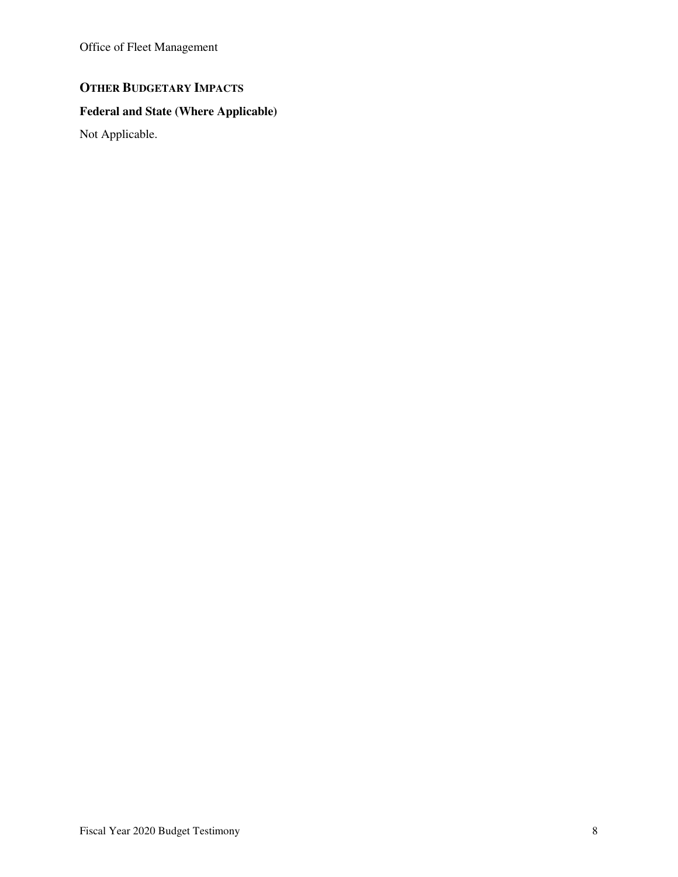Office of Fleet Management

# **OTHER BUDGETARY IMPACTS**

# **Federal and State (Where Applicable)**

Not Applicable.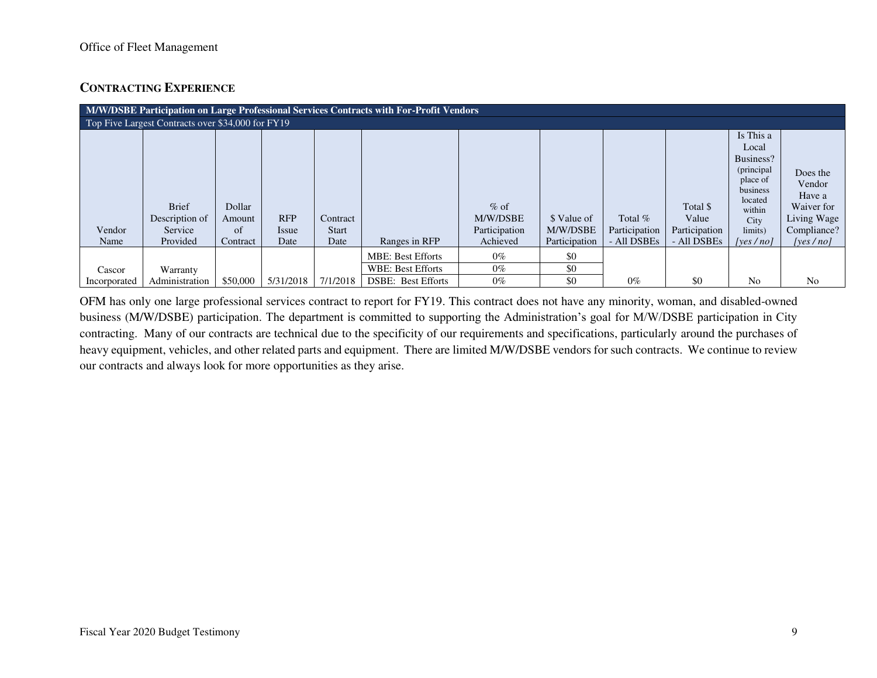## **CONTRACTING EXPERIENCE**

| M/W/DSBE Participation on Large Professional Services Contracts with For-Profit Vendors |                                                       |                                    |                                    |                                  |                           |                                                 |                                          |                                           |                                                   |                                                                                                                           |                                                                                      |
|-----------------------------------------------------------------------------------------|-------------------------------------------------------|------------------------------------|------------------------------------|----------------------------------|---------------------------|-------------------------------------------------|------------------------------------------|-------------------------------------------|---------------------------------------------------|---------------------------------------------------------------------------------------------------------------------------|--------------------------------------------------------------------------------------|
| Top Five Largest Contracts over \$34,000 for FY19                                       |                                                       |                                    |                                    |                                  |                           |                                                 |                                          |                                           |                                                   |                                                                                                                           |                                                                                      |
| Vendor<br>Name                                                                          | <b>Brief</b><br>Description of<br>Service<br>Provided | Dollar<br>Amount<br>of<br>Contract | <b>RFP</b><br><i>Issue</i><br>Date | Contract<br><b>Start</b><br>Date | Ranges in RFP             | $%$ of<br>M/W/DSBE<br>Participation<br>Achieved | \$ Value of<br>M/W/DSBE<br>Participation | Total $%$<br>Participation<br>- All DSBEs | Total \$<br>Value<br>Participation<br>- All DSBEs | Is This a<br>Local<br>Business?<br>(principal<br>place of<br>business<br>located<br>within<br>City<br>limits)<br>[ves/no] | Does the<br>Vendor<br>Have a<br>Waiver for<br>Living Wage<br>Compliance?<br>[ves/no] |
|                                                                                         |                                                       |                                    |                                    |                                  | <b>MBE: Best Efforts</b>  | $0\%$                                           | \$0                                      |                                           |                                                   |                                                                                                                           |                                                                                      |
| Cascor                                                                                  | Warranty                                              |                                    |                                    |                                  | WBE: Best Efforts         | $0\%$                                           | \$0                                      |                                           |                                                   |                                                                                                                           |                                                                                      |
| Incorporated                                                                            | Administration                                        | \$50,000                           | 5/31/2018                          | 7/1/2018                         | <b>DSBE: Best Efforts</b> | $0\%$                                           | \$0                                      | $0\%$                                     | \$0                                               | N <sub>o</sub>                                                                                                            | N <sub>0</sub>                                                                       |

OFM has only one large professional services contract to report for FY19. This contract does not have any minority, woman, and disabled-owned business (M/W/DSBE) participation. The department is committed to supporting the Administration's goal for M/W/DSBE participation in City contracting. Many of our contracts are technical due to the specificity of our requirements and specifications, particularly around the purchases of heavy equipment, vehicles, and other related parts and equipment. There are limited M/W/DSBE vendors for such contracts. We continue to review our contracts and always look for more opportunities as they arise.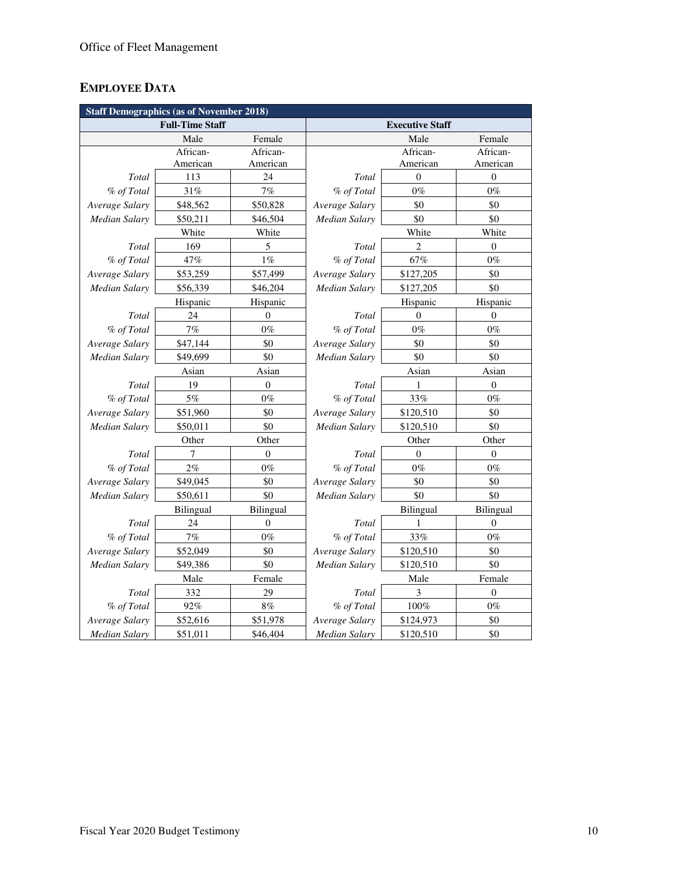# **EMPLOYEE DATA**

| <b>Staff Demographics (as of November 2018)</b> |                        |              |                        |                |                  |  |  |  |
|-------------------------------------------------|------------------------|--------------|------------------------|----------------|------------------|--|--|--|
|                                                 | <b>Full-Time Staff</b> |              | <b>Executive Staff</b> |                |                  |  |  |  |
|                                                 | Male                   | Female       |                        | Male           | Female           |  |  |  |
|                                                 | African-               | African-     |                        | African-       | African-         |  |  |  |
|                                                 | American               | American     |                        | American       | American         |  |  |  |
| Total                                           | 113                    | 24           | Total                  | $\theta$       | $\theta$         |  |  |  |
| % of Total                                      | 31%                    | 7%           | % of Total             | $0\%$          | $0\%$            |  |  |  |
| Average Salary                                  | \$48,562               | \$50,828     | Average Salary         | \$0            | \$0              |  |  |  |
| <b>Median Salary</b>                            | \$50,211               | \$46,504     | Median Salary          | \$0            | \$0              |  |  |  |
|                                                 | White                  | White        |                        | White          | White            |  |  |  |
| Total                                           | 169                    | 5            | Total                  | $\overline{2}$ | $\mathbf{0}$     |  |  |  |
| % of Total                                      | 47%                    | $1\%$        | % of Total             | 67%            | $0\%$            |  |  |  |
| Average Salary                                  | \$53,259               | \$57,499     | Average Salary         | \$127,205      | \$0              |  |  |  |
| <b>Median Salary</b>                            | \$56,339               | \$46,204     | Median Salary          | \$127,205      | \$0              |  |  |  |
|                                                 | Hispanic               | Hispanic     |                        | Hispanic       | Hispanic         |  |  |  |
| Total                                           | 24                     | $\theta$     | Total                  | $\Omega$       | $\Omega$         |  |  |  |
| % of Total                                      | 7%                     | $0\%$        | % of Total             | $0\%$          | $0\%$            |  |  |  |
| Average Salary                                  | \$47,144               | \$0          | Average Salary         | \$0            | \$0              |  |  |  |
| <b>Median Salary</b>                            | \$49,699               | \$0          | Median Salary          | \$0            | \$0              |  |  |  |
|                                                 | Asian                  |              |                        | Asian          |                  |  |  |  |
| Total                                           | 19                     | $\mathbf{0}$ | Total                  | 1              | $\overline{0}$   |  |  |  |
| % of Total                                      | 5%                     | $0\%$        | % of Total             | 33%            | $0\%$            |  |  |  |
| Average Salary                                  | \$51,960               | \$0          | Average Salary         | \$120,510      | \$0              |  |  |  |
| Median Salary                                   | \$50,011               | \$0          | Median Salary          | \$120,510      | \$0              |  |  |  |
|                                                 | Other                  | Other        | Other                  |                | Other            |  |  |  |
| Total                                           | $\tau$                 | $\mathbf{0}$ | Total                  | $\Omega$       | $\overline{0}$   |  |  |  |
| % of Total                                      | 2%                     | $0\%$        | % of Total             | $0\%$          | $0\%$            |  |  |  |
| Average Salary                                  | \$49,045               | \$0          | Average Salary         | \$0            | \$0              |  |  |  |
| Median Salary                                   | \$50,611               | \$0          | Median Salary          | \$0            | \$0              |  |  |  |
|                                                 | Bilingual              | Bilingual    |                        | Bilingual      | Bilingual        |  |  |  |
| Total                                           | 24                     | $\mathbf{0}$ | Total                  | 1              | $\overline{0}$   |  |  |  |
| % of Total                                      | 7%                     | $0\%$        | % of Total             | 33%            | $0\%$            |  |  |  |
| Average Salary                                  | \$52,049               | \$0          | Average Salary         | \$120,510      | \$0              |  |  |  |
| Median Salary                                   | \$49,386               | \$0          | Median Salary          | \$120,510      | \$0              |  |  |  |
|                                                 | Male                   | Female       |                        | Male           | Female           |  |  |  |
| Total                                           | 332                    | 29           | Total                  | 3              | $\boldsymbol{0}$ |  |  |  |
| % of Total                                      | 92%                    | $8\%$        | % of Total             | $100\%$        | $0\%$            |  |  |  |
| Average Salary                                  | \$52,616               | \$51,978     | Average Salary         | \$124,973      | \$0              |  |  |  |
| <b>Median Salary</b>                            | \$51,011               | \$46,404     | <b>Median Salary</b>   | \$120,510      | \$0              |  |  |  |